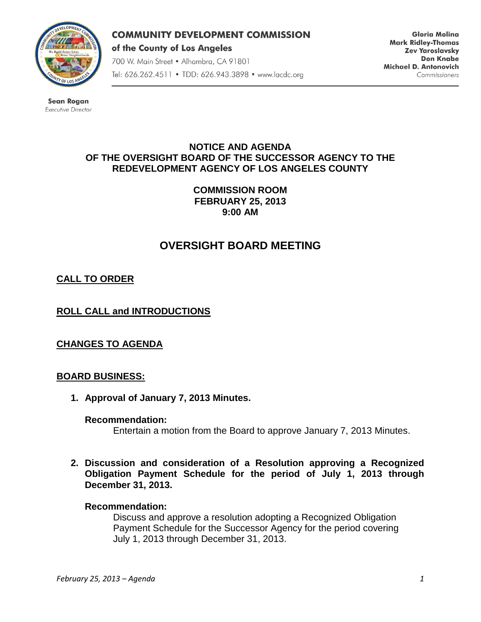

### **COMMUNITY DEVELOPMENT COMMISSION**

of the County of Los Angeles

700 W. Main Street . Alhambra, CA 91801 Tel: 626.262.4511 • TDD: 626.943.3898 • www.lacdc.org

**Gloria Molina Mark Ridley-Thomas Zev Yaroslavsky Don Knabe** Michael D. Antonovich Commissioners

**Sean Rogan** Executive Director

# **NOTICE AND AGENDA OF THE OVERSIGHT BOARD OF THE SUCCESSOR AGENCY TO THE REDEVELOPMENT AGENCY OF LOS ANGELES COUNTY**

**COMMISSION ROOM FEBRUARY 25, 2013 9:00 AM**

# **OVERSIGHT BOARD MEETING**

# **CALL TO ORDER**

**ROLL CALL and INTRODUCTIONS** 

**CHANGES TO AGENDA**

# **BOARD BUSINESS:**

**1. Approval of January 7, 2013 Minutes.**

#### **Recommendation:**

Entertain a motion from the Board to approve January 7, 2013 Minutes.

**2. Discussion and consideration of a Resolution approving a Recognized Obligation Payment Schedule for the period of July 1, 2013 through December 31, 2013.**

#### **Recommendation:**

Discuss and approve a resolution adopting a Recognized Obligation Payment Schedule for the Successor Agency for the period covering July 1, 2013 through December 31, 2013.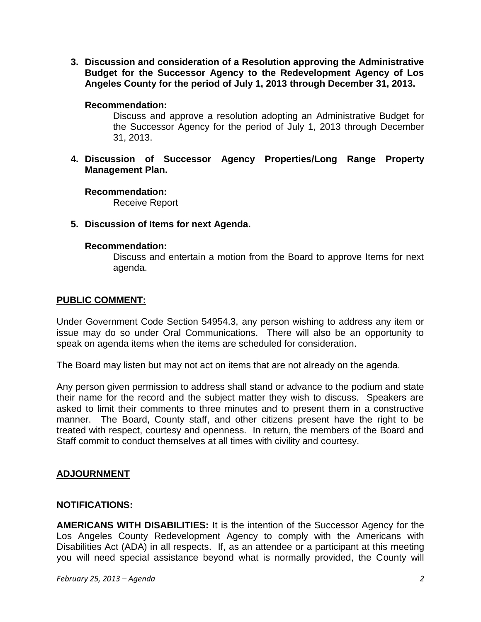**3. Discussion and consideration of a Resolution approving the Administrative Budget for the Successor Agency to the Redevelopment Agency of Los Angeles County for the period of July 1, 2013 through December 31, 2013.**

### **Recommendation:**

Discuss and approve a resolution adopting an Administrative Budget for the Successor Agency for the period of July 1, 2013 through December 31, 2013.

**4. Discussion of Successor Agency Properties/Long Range Property Management Plan.**

### **Recommendation:**

Receive Report

### **5. Discussion of Items for next Agenda.**

#### **Recommendation:**

Discuss and entertain a motion from the Board to approve Items for next agenda.

### **PUBLIC COMMENT:**

Under Government Code Section 54954.3, any person wishing to address any item or issue may do so under Oral Communications. There will also be an opportunity to speak on agenda items when the items are scheduled for consideration.

The Board may listen but may not act on items that are not already on the agenda.

Any person given permission to address shall stand or advance to the podium and state their name for the record and the subject matter they wish to discuss. Speakers are asked to limit their comments to three minutes and to present them in a constructive manner. The Board, County staff, and other citizens present have the right to be treated with respect, courtesy and openness. In return, the members of the Board and Staff commit to conduct themselves at all times with civility and courtesy.

# **ADJOURNMENT**

#### **NOTIFICATIONS:**

**AMERICANS WITH DISABILITIES:** It is the intention of the Successor Agency for the Los Angeles County Redevelopment Agency to comply with the Americans with Disabilities Act (ADA) in all respects. If, as an attendee or a participant at this meeting you will need special assistance beyond what is normally provided, the County will